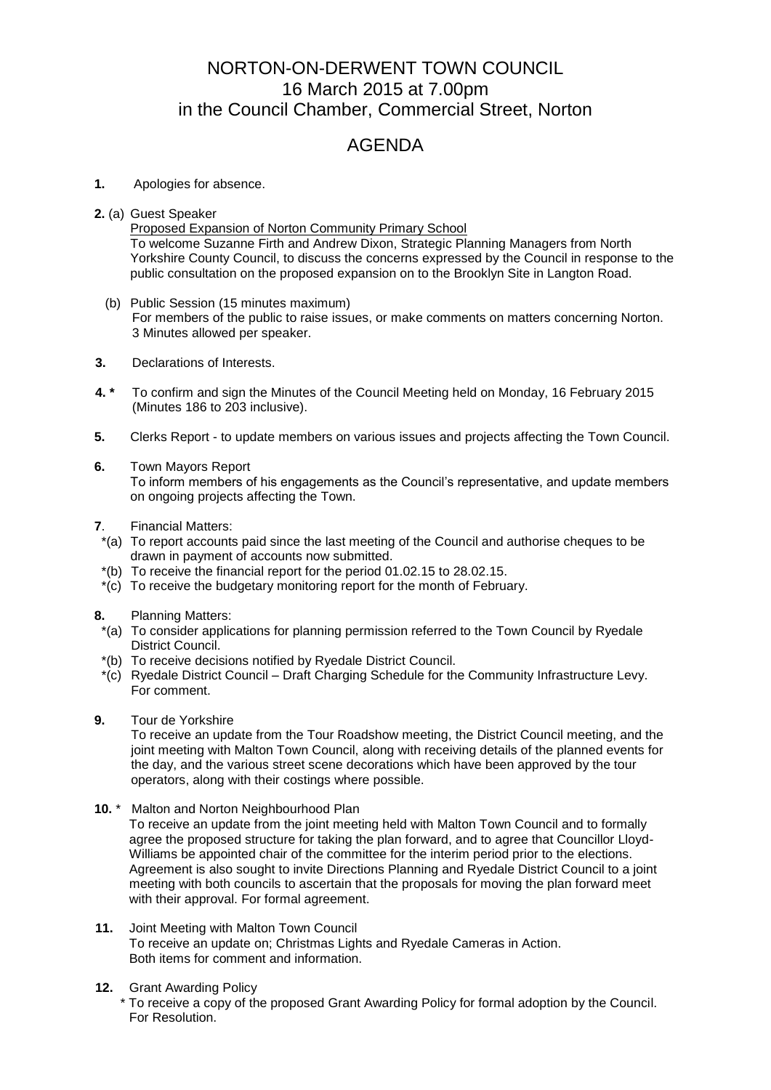## NORTON-ON-DERWENT TOWN COUNCIL 16 March 2015 at 7.00pm in the Council Chamber, Commercial Street, Norton

## AGENDA

## **1.** Apologies for absence.

- **2.** (a) Guest Speaker
	- Proposed Expansion of Norton Community Primary School To welcome Suzanne Firth and Andrew Dixon, Strategic Planning Managers from North Yorkshire County Council, to discuss the concerns expressed by the Council in response to the public consultation on the proposed expansion on to the Brooklyn Site in Langton Road.
	- (b) Public Session (15 minutes maximum) For members of the public to raise issues, or make comments on matters concerning Norton. 3 Minutes allowed per speaker.
- **3.** Declarations of Interests.
- **4. \*** To confirm and sign the Minutes of the Council Meeting held on Monday, 16 February 2015 (Minutes 186 to 203 inclusive).
- **5.** Clerks Report to update members on various issues and projects affecting the Town Council.
- **6.** Town Mayors Report To inform members of his engagements as the Council's representative, and update members on ongoing projects affecting the Town.
- **7**. Financial Matters:
- \*(a) To report accounts paid since the last meeting of the Council and authorise cheques to be drawn in payment of accounts now submitted.
- \*(b) To receive the financial report for the period 01.02.15 to 28.02.15.
- \*(c) To receive the budgetary monitoring report for the month of February.
- **8.** Planning Matters:
- \*(a) To consider applications for planning permission referred to the Town Council by Ryedale District Council.
- \*(b) To receive decisions notified by Ryedale District Council.
- \*(c) Ryedale District Council Draft Charging Schedule for the Community Infrastructure Levy. For comment.
- **9.** Tour de Yorkshire

To receive an update from the Tour Roadshow meeting, the District Council meeting, and the joint meeting with Malton Town Council, along with receiving details of the planned events for the day, and the various street scene decorations which have been approved by the tour operators, along with their costings where possible.

**10.** \* Malton and Norton Neighbourhood Plan

To receive an update from the joint meeting held with Malton Town Council and to formally agree the proposed structure for taking the plan forward, and to agree that Councillor Lloyd-Williams be appointed chair of the committee for the interim period prior to the elections. Agreement is also sought to invite Directions Planning and Ryedale District Council to a joint meeting with both councils to ascertain that the proposals for moving the plan forward meet with their approval. For formal agreement.

- **11.** Joint Meeting with Malton Town Council To receive an update on; Christmas Lights and Ryedale Cameras in Action. Both items for comment and information.
- **12.** Grant Awarding Policy
	- To receive a copy of the proposed Grant Awarding Policy for formal adoption by the Council. For Resolution.